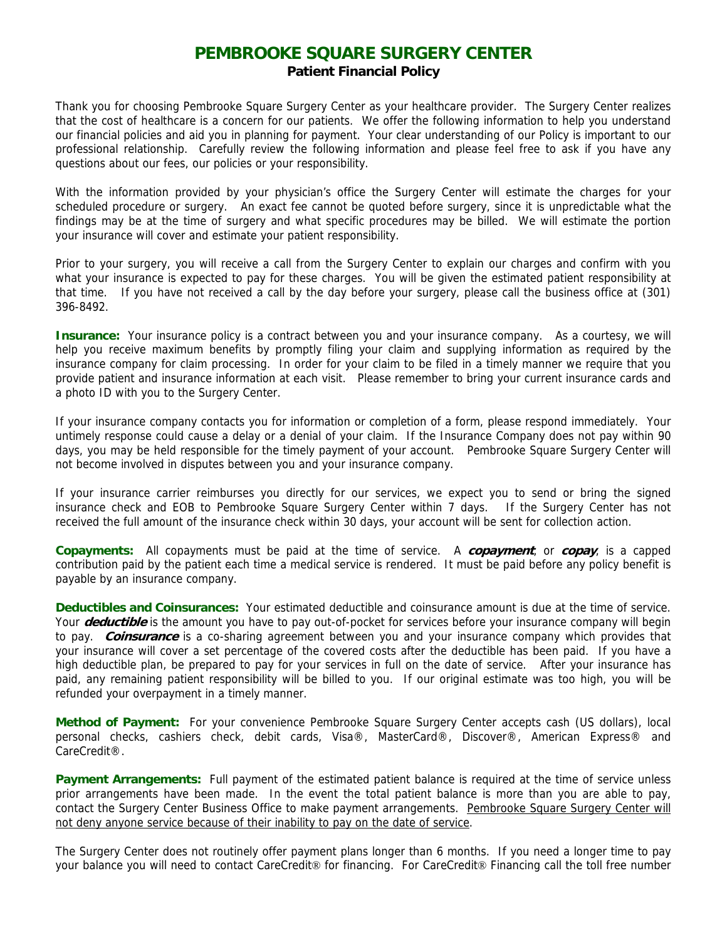## **PEMBROOKE SQUARE SURGERY CENTER Patient Financial Policy**

Thank you for choosing Pembrooke Square Surgery Center as your healthcare provider. The Surgery Center realizes that the cost of healthcare is a concern for our patients. We offer the following information to help you understand our financial policies and aid you in planning for payment. Your clear understanding of our Policy is important to our professional relationship. Carefully review the following information and please feel free to ask if you have any questions about our fees, our policies or your responsibility.

With the information provided by your physician's office the Surgery Center will estimate the charges for your scheduled procedure or surgery. An exact fee cannot be quoted before surgery, since it is unpredictable what the findings may be at the time of surgery and what specific procedures may be billed. We will estimate the portion your insurance will cover and estimate your patient responsibility.

Prior to your surgery, you will receive a call from the Surgery Center to explain our charges and confirm with you what your insurance is expected to pay for these charges. You will be given the estimated patient responsibility at that time. If you have not received a call by the day before your surgery, please call the business office at (301) 396-8492.

**Insurance:** Your insurance policy is a contract between you and your insurance company. As a courtesy, we will help you receive maximum benefits by promptly filing your claim and supplying information as required by the insurance company for claim processing. In order for your claim to be filed in a timely manner we require that you provide patient and insurance information at each visit. Please remember to bring your current insurance cards and a photo ID with you to the Surgery Center.

If your insurance company contacts you for information or completion of a form, please respond immediately. Your untimely response could cause a delay or a denial of your claim. If the Insurance Company does not pay within 90 days, you may be held responsible for the timely payment of your account. Pembrooke Square Surgery Center will not become involved in disputes between you and your insurance company.

If your insurance carrier reimburses you directly for our services, we expect you to send or bring the signed insurance check and EOB to Pembrooke Square Surgery Center within 7 days. If the Surgery Center has not received the full amount of the insurance check within 30 days, your account will be sent for collection action.

**Copayments:** All copayments must be paid at the time of service. A **copayment**, or **copay**, is a capped contribution paid by the patient each time a medical service is rendered. It must be paid before any policy benefit is payable by an insurance company.

**Deductibles and Coinsurances:** Your estimated deductible and coinsurance amount is due at the time of service. Your **deductible** is the amount you have to pay out-of-pocket for services before your insurance company will begin to pay. **Coinsurance** is a co-sharing agreement between you and your insurance company which provides that your insurance will cover a set percentage of the covered costs after the deductible has been paid. If you have a high deductible plan, be prepared to pay for your services in full on the date of service. After your insurance has paid, any remaining patient responsibility will be billed to you. If our original estimate was too high, you will be refunded your overpayment in a timely manner.

**Method of Payment:** For your convenience Pembrooke Square Surgery Center accepts cash (US dollars), local personal checks, cashiers check, debit cards, Visa®, MasterCard®, Discover®, American Express® and CareCredit®.

**Payment Arrangements:** Full payment of the estimated patient balance is required at the time of service unless prior arrangements have been made. In the event the total patient balance is more than you are able to pay, contact the Surgery Center Business Office to make payment arrangements. Pembrooke Square Surgery Center will not deny anyone service because of their inability to pay on the date of service.

The Surgery Center does not routinely offer payment plans longer than 6 months. If you need a longer time to pay your balance you will need to contact CareCredit® for financing. For CareCredit® Financing call the toll free number